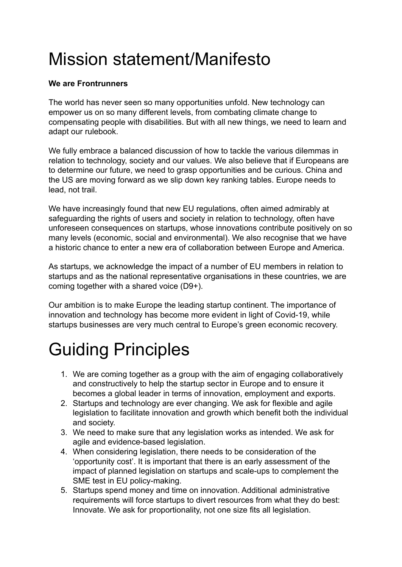## Mission statement/Manifesto

## **We are Frontrunners**

The world has never seen so many opportunities unfold. New technology can empower us on so many different levels, from combating climate change to compensating people with disabilities. But with all new things, we need to learn and adapt our rulebook.

We fully embrace a balanced discussion of how to tackle the various dilemmas in relation to technology, society and our values. We also believe that if Europeans are to determine our future, we need to grasp opportunities and be curious. China and the US are moving forward as we slip down key ranking tables. Europe needs to lead, not trail.

We have increasingly found that new EU regulations, often aimed admirably at safeguarding the rights of users and society in relation to technology, often have unforeseen consequences on startups, whose innovations contribute positively on so many levels (economic, social and environmental). We also recognise that we have a historic chance to enter a new era of collaboration between Europe and America.

As startups, we acknowledge the impact of a number of EU members in relation to startups and as the national representative organisations in these countries, we are coming together with a shared voice (D9+).

Our ambition is to make Europe the leading startup continent. The importance of innovation and technology has become more evident in light of Covid-19, while startups businesses are very much central to Europe's green economic recovery.

## Guiding Principles

- 1. We are coming together as a group with the aim of engaging collaboratively and constructively to help the startup sector in Europe and to ensure it becomes a global leader in terms of innovation, employment and exports.
- 2. Startups and technology are ever changing. We ask for flexible and agile legislation to facilitate innovation and growth which benefit both the individual and society.
- 3. We need to make sure that any legislation works as intended. We ask for agile and evidence-based legislation.
- 4. When considering legislation, there needs to be consideration of the 'opportunity cost'. It is important that there is an early assessment of the impact of planned legislation on startups and scale-ups to complement the SME test in EU policy-making.
- 5. Startups spend money and time on innovation. Additional administrative requirements will force startups to divert resources from what they do best: Innovate. We ask for proportionality, not one size fits all legislation.